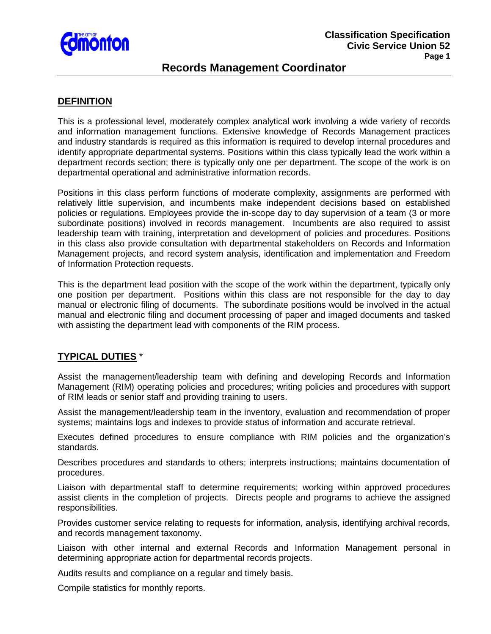

# **Records Management Coordinator**

#### **DEFINITION**

This is a professional level, moderately complex analytical work involving a wide variety of records and information management functions. Extensive knowledge of Records Management practices and industry standards is required as this information is required to develop internal procedures and identify appropriate departmental systems. Positions within this class typically lead the work within a department records section; there is typically only one per department. The scope of the work is on departmental operational and administrative information records.

Positions in this class perform functions of moderate complexity, assignments are performed with relatively little supervision, and incumbents make independent decisions based on established policies or regulations. Employees provide the in-scope day to day supervision of a team (3 or more subordinate positions) involved in records management. Incumbents are also required to assist leadership team with training, interpretation and development of policies and procedures. Positions in this class also provide consultation with departmental stakeholders on Records and Information Management projects, and record system analysis, identification and implementation and Freedom of Information Protection requests.

This is the department lead position with the scope of the work within the department, typically only one position per department. Positions within this class are not responsible for the day to day manual or electronic filing of documents. The subordinate positions would be involved in the actual manual and electronic filing and document processing of paper and imaged documents and tasked with assisting the department lead with components of the RIM process.

# **TYPICAL DUTIES** \*

Assist the management/leadership team with defining and developing Records and Information Management (RIM) operating policies and procedures; writing policies and procedures with support of RIM leads or senior staff and providing training to users.

Assist the management/leadership team in the inventory, evaluation and recommendation of proper systems; maintains logs and indexes to provide status of information and accurate retrieval.

Executes defined procedures to ensure compliance with RIM policies and the organization's standards.

Describes procedures and standards to others; interprets instructions; maintains documentation of procedures.

Liaison with departmental staff to determine requirements; working within approved procedures assist clients in the completion of projects. Directs people and programs to achieve the assigned responsibilities.

Provides customer service relating to requests for information, analysis, identifying archival records, and records management taxonomy.

Liaison with other internal and external Records and Information Management personal in determining appropriate action for departmental records projects.

Audits results and compliance on a regular and timely basis.

Compile statistics for monthly reports.